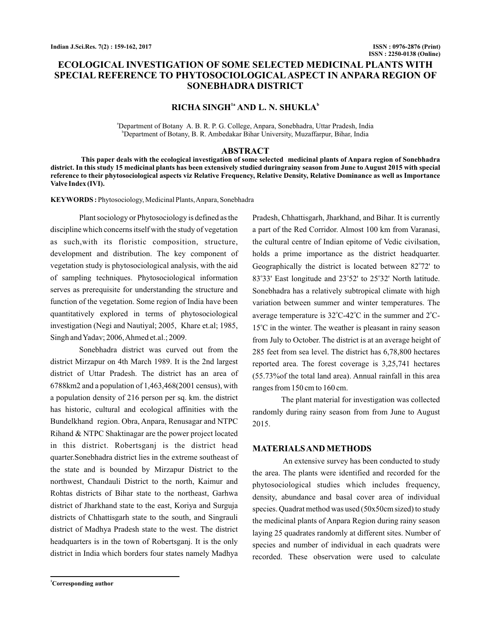# **ECOLOGICAL INVESTIGATION OF SOME SELECTED MEDICINAL PLANTS WITH SPECIAL REFERENCE TO PHYTOSOCIOLOGICAL ASPECT IN ANPARA REGION OF SONEBHADRA DISTRICT**

## $RICHA$   $SINGH<sup>1a</sup>$   $AND L. N.$   $SHUKLA<sup>b</sup>$

a Department of Botany A. B. R. P. G. College, Anpara, Sonebhadra, Uttar Pradesh, India b Department of Botany, B. R. Ambedakar Bihar University, Muzaffarpur, Bihar, India

#### **ABSTRACT**

**This paper deals with the ecological investigation of some selected medicinal plants of Anpara region of Sonebhadra district. In this study 15 medicinal plants has been extensively studied duringrainy season from June to August 2015 with special reference to their phytosociological aspects viz Relative Frequency, Relative Density, Relative Dominance as well as Importance Valve Index (IVI).**

KEYWORDS: Phytosociology, Medicinal Plants, Anpara, Sonebhadra

Plant sociology or Phytosociology is defined as the discipline which concerns itself with the study of vegetation as such,with its floristic composition, structure, development and distribution. The key component of vegetation study is phytosociological analysis, with the aid of sampling techniques. Phytosociological information serves as prerequisite for understanding the structure and function of the vegetation. Some region of India have been quantitatively explored in terms of phytosociological investigation (Negi and Nautiyal; 2005, Khare et.al; 1985, Singh andYadav; 2006,Ahmed et.al.; 2009.

Sonebhadra district was curved out from the district Mirzapur on 4th March 1989. It is the 2nd largest district of Uttar Pradesh. The district has an area of 6788km2 and a population of 1,463,468(2001 census), with a population density of 216 person per sq. km. the district has historic, cultural and ecological affinities with the Bundelkhand region. Obra, Anpara, Renusagar and NTPC Rihand & NTPC Shaktinagar are the power project located in this district. Robertsganj is the district head quarter.Sonebhadra district lies in the extreme southeast of the state and is bounded by Mirzapur District to the northwest, Chandauli District to the north, Kaimur and Rohtas districts of Bihar state to the northeast, Garhwa district of Jharkhand state to the east, Koriya and Surguja districts of Chhattisgarh state to the south, and Singrauli district of Madhya Pradesh state to the west. The district headquarters is in the town of Robertsganj. It is the only district in India which borders four states namely Madhya

**<sup>1</sup>Corresponding author**

Pradesh, Chhattisgarh, Jharkhand, and Bihar. It is currently a part of the Red Corridor. Almost 100 km from Varanasi, the cultural centre of Indian epitome of Vedic civilsation, holds a prime importance as the district headquarter. Geographically the district is located between 82°72' to 83°33' East longitude and 23°52' to 25°32' North latitude. Sonebhadra has a relatively subtropical climate with high variation between summer and winter temperatures. The average temperature is  $32^{\circ}$ C-42 $^{\circ}$ C in the summer and  $2^{\circ}$ C- $15^{\circ}$ C in the winter. The weather is pleasant in rainy season from July to October. The district is at an average height of 285 feet from sea level. The district has 6,78,800 hectares reported area. The forest coverage is 3,25,741 hectares (55.73%of the total land area). Annual rainfall in this area ranges from 150 cm to 160 cm.

The plant material for investigation was collected randomly during rainy season from from June to August 2015.

### **MATERIALSAND METHODS**

An extensive survey has been conducted to study the area. The plants were identified and recorded for the phytosociological studies which includes frequency, density, abundance and basal cover area of individual species. Quadrat method was used (50x50cm sized) to study the medicinal plants of Anpara Region during rainy season laying 25 quadrates randomly at different sites. Number of species and number of individual in each quadrats were recorded. These observation were used to calculate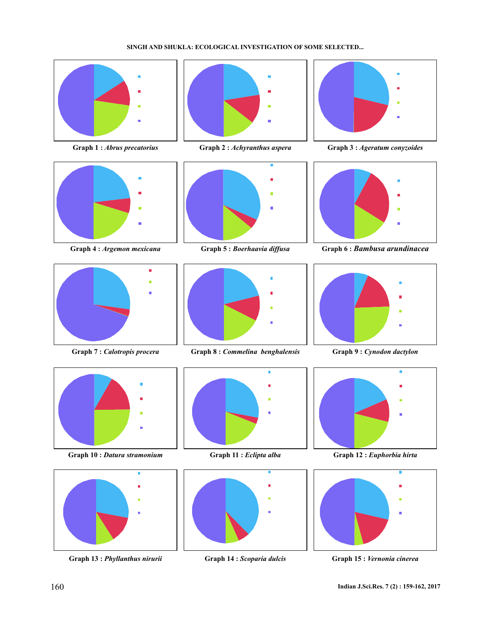### **SINGH AND SHUKLA: ECOLOGICAL INVESTIGATION OF SOME SELECTED...**









**Graph 10 :** *Datura stramonium* **Graph 11 :** *Eclipta alba* **Graph 12 :** *Euphorbia hirta*



**Graph 13 :** *Phyllanthus nirurii* **Graph 14 :** *Scoparia dulcis* **Graph 15 :** *Vernonia cinerea*







**Graph 7 :** *Calotropis procera* **Graph 8 :** *Commelina benghalensis* **Graph 9 :** *Cynodon dactylon*







**Graph 1 :** *Abrus precatorius* **Graph 2 :** *Achyranthus aspera* **Graph 3 :** *Ageratum conyzoides*



**Graph 4 :** *Argemon mexicana* **Graph 5 :** *Boerhaavia diffusa* **Graph 6 :** *Bambusa arundinacea*





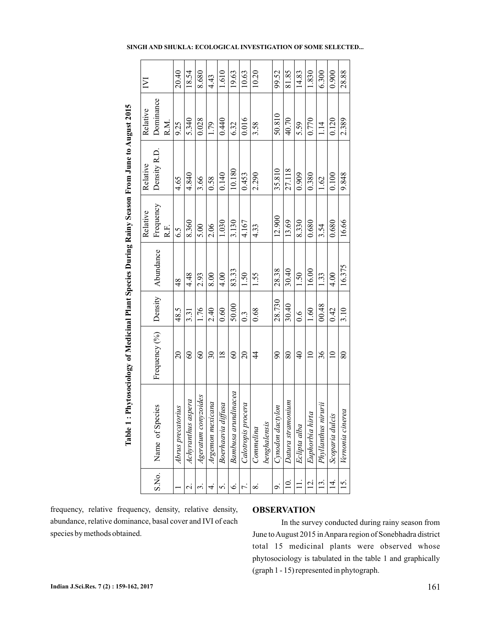|                                                                                                                                                         | Σ        |                     | 20.40                  | 18.54              | 8.680               | 4.43                     | 1.610                 | 19.63                   | 10.63                  | 10.20          |              | 99.52                                                                        | 81.85             | 14.83          | 1.830           | 6.300                  | 0.900               | 28.88                |  |  |  |
|---------------------------------------------------------------------------------------------------------------------------------------------------------|----------|---------------------|------------------------|--------------------|---------------------|--------------------------|-----------------------|-------------------------|------------------------|----------------|--------------|------------------------------------------------------------------------------|-------------------|----------------|-----------------|------------------------|---------------------|----------------------|--|--|--|
| : Phytosociology of Medicinal Plant Species During Rainy Season From June to August 2015                                                                | Relative | Dominance<br>R.M.   | 9.25                   | 5.340              | 0.028               | 1.79                     | 0.440                 | 6.32                    | 0.016                  | 3.58           |              | 50.810                                                                       | 40.70             | 5.59           | 0.770           | 1.14                   | 0.120               | 2.389                |  |  |  |
|                                                                                                                                                         | Relative | Density R.D         | 4.65                   | 4.840              | 3.66                | 0.58                     | 0.140                 | 10.180                  | 0.453                  | 2.290          |              | 35.810                                                                       | 27.118            | 0.909          | 0.380           | 1.62                   | 0.100               | 9.848                |  |  |  |
|                                                                                                                                                         | Relative | Frequency<br>R.F.   | 6.5                    | 8.360              | 5.00                | 2.06                     | 1.030                 | 3.130                   | 4.167                  | 4.33           |              | 12.900                                                                       | 13.69             | 8.330          | 0.680           | 3.54                   | 0.680               | 16.66                |  |  |  |
|                                                                                                                                                         |          | Abundance           | $\frac{48}{5}$         | 4.48               | 2.93                | 8.00                     | 4.00                  | 83.33                   | 1.50                   | 1.55           |              | 28.38                                                                        | 30.40             | 1.50           | 16.00           | 1.33                   | 4.00                | 16.375               |  |  |  |
|                                                                                                                                                         |          | Density             | 48.5                   | 3.31               | 1.76                | 2.40                     | 0.60                  | 50.00                   | $0.\overline{3}$       | 0.68           |              | 28.730                                                                       | 30.40             | $\frac{6}{10}$ | 1.60            | 00.48                  | 0.42                | 3.10                 |  |  |  |
|                                                                                                                                                         |          | Frequency (%)       | $\overline{c}$         | $\infty$           | $\infty$            | $\overline{\mathcal{E}}$ | $\overline{18}$       | $\infty$                | $\Omega$               | $\overline{4}$ |              | $\overline{6}$                                                               | 80                | $\overline{4}$ | $\supseteq$     | 36                     | $\overline{a}$      | $\rm 80$             |  |  |  |
| Table                                                                                                                                                   |          | pecies<br>Name of S | torius<br>Abrus precai | Achyranthus aspera | Ageratum conyzoides | Argemon mexicana         | diffusa<br>Boerhaavia | undinacea<br>Bambusa ar | rocera<br>Calotropis p | Commelina      | benghalensis | Cynodon dactylon                                                             | Datura stramonium | Eclipta alba   | Euphorbia hirta | nirurii<br>Phyllanthus | lcis<br>Scoparia du | vala<br>Vernonia cin |  |  |  |
|                                                                                                                                                         |          | S.No.               |                        | $\sim$             | $\epsilon$          | 4.                       | r.                    | $\dot{\circ}$           | 7.                     | $\infty$       |              | o.                                                                           | $\overline{10}$   |                | $\overline{5}$  | $\overline{3}$         | $\vec{4}$           | 15.                  |  |  |  |
| frequency, relative frequency, density, relative density,<br>abundance, relative dominance, basal cover and IVI of each<br>species by methods obtained. |          |                     |                        |                    |                     |                          |                       |                         |                        |                |              | <b>OBSERVATION</b><br>In the survey conduct<br>June to August 2015 in Anpara |                   |                |                 |                        |                     |                      |  |  |  |

**SINGH AND SHUKLA: ECOLOGICAL INVESTIGATION OF SOME SELECTED...**

 $\blacksquare$ 

#### **OBSERVATION**

In the survey conducted during rainy season from June to August 2015 in Anpara region of Sonebhadra district total 15 medicinal plants were observed whose phytosociology is tabulated in the table 1 and graphically (graph 1 - 15) represented in phytograph.

L,